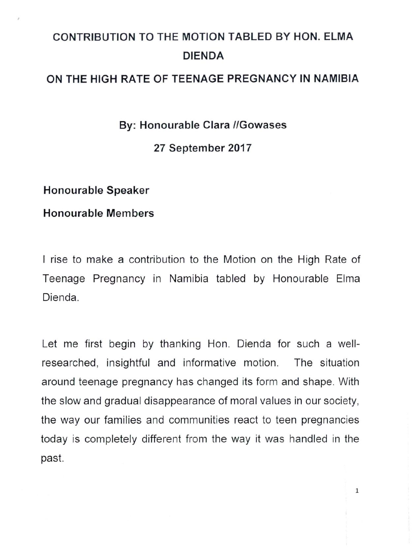# **CONTRIBUTION TO THE MOTION TABLED BY HON. ELMA DIENDA**

#### **ON THE HIGH RATE OF TEENAGE PREGNANCY IN NAMIBIA**

**By: Honourable Clara** *IIGowases*

**27 September 2017**

**Honourable Speaker**

**Honourable Members**

I rise to make a contribution to the Motion on the High Rate of Teenage Pregnancy in Namibia tabled by Honourable Elma Dienda.

Let me first begin by thanking Hon. Dienda for such a wellresearched, insightful and informative motion. The situation around teenage pregnancy has changed its form and shape. With the slow and gradual disappearance of moral values in our society, the way our families and communities react to teen pregnancies today is completely different from the way it was handled in the past.

1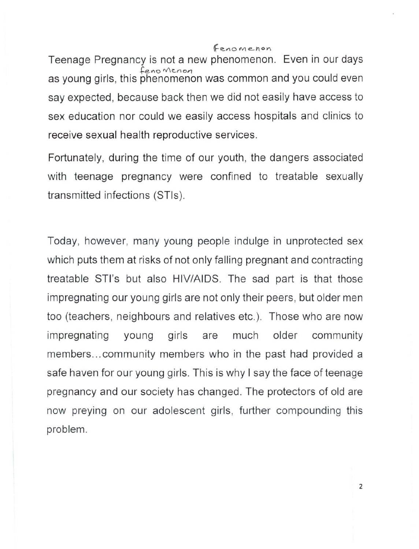#### Fenomenon

Teenage Pregnancy is not a new phenomenon. Even in our days feno Menon as young girls, this phenomenon was common and you could even say expected, because back then we did not easily have access to sex education nor could we easily access hospitals and clinics to receive sexual health reproductive services.

Fortunately, during the time of our youth, the dangers associated with teenage pregnancy were confined to treatable sexually transmitted infections (STls).

Today, however, many young people indulge in unprotected sex which puts them at risks of not only falling pregnant and contracting treatable STI's but also HIV/AIDS. The sad part is that those impregnating our young girls are not only their peers, but older men too (teachers, neighbours and relatives etc.). Those who are now impregnating young girls are much older community members ... community members who in the past had provided a safe haven for our young girls. This is why I say the face of teenage pregnancy and our society has changed. The protectors of old are now preying on our adolescent girls, further compounding this problem.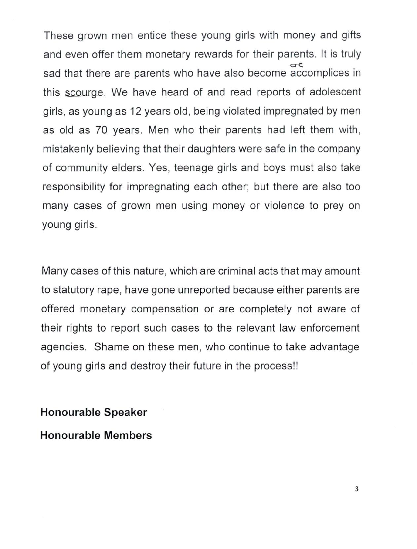These grown men entice these young girls with money and gifts and even offer them monetary rewards for their parents. It is truly ere. sad that there are parents who have also become accomplices in this scourge. We have heard of and read reports of adolescent girls, as young as 12 years old, being violated impregnated by men as old as 70 years. Men who their parents had left them with, mistakenly believing that their daughters were safe in the company of community elders. Yes, teenage girls and boys must also take responsibility for impregnating each other; but there are also too many cases of grown men using money or violence to prey on young girls.

Many cases of this nature, which are criminal acts that may amount to statutory rape, have gone unreported because either parents are offered monetary compensation or are completely not aware of their rights to report such cases to the relevant law enforcement agencies. Shame on these men, who continue to take advantage of young girls and destroy their future in the process!!

**Honourable Speaker**

**Honourable Members**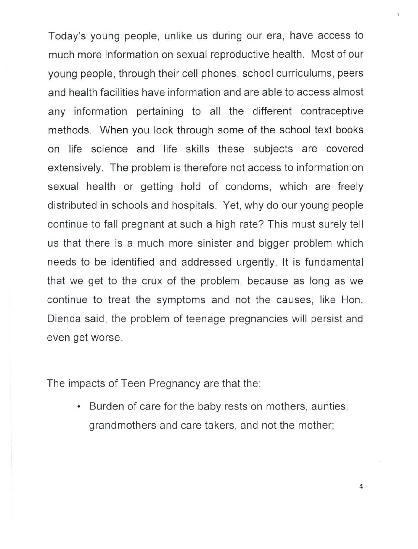Today's young people, unlike us during our era, have access to much more information on sexual reproductive health. Most of our young people, through their cell phones, school curriculums, peers and health facilities have information and are able to access almost any information pertaining to all the different contraceptive methods. When you look through some of the school text books on life science and life skills these subjects are covered extensively. The problem is therefore not access to information on sexual health or getting hold of condoms, which are freely distributed in schools and hospitals. Yet, why do our young people continue to fall pregnant at such a high rate? This must surely tell us that there is a much more sinister and bigger problem which needs to be identified and addressed urgently. It is fundamental that we get to the crux of the problem, because as long as we continue to treat the symptoms and not the causes, like Hon. Dienda said, the problem of teenage pregnancies will persist and even get worse.

The impacts of Teen Pregnancy are that the:

• Burden of care for the baby rests on mothers, aunties, grandmothers and care takers, and not the mother;

4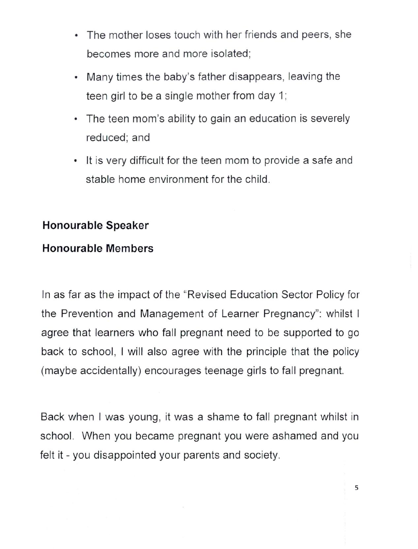- The mother loses touch with her friends and peers, she becomes more and more isolated;
- Many times the baby's father disappears, leaving the teen girl to be a single mother from day 1;
- The teen mom's ability to gain an education is severely reduced; and
- It is very difficult for the teen mom to provide a safe and stable home environment for the child.

## **Honourable Speaker**

## **Honourable Members**

In as far as the impact of the "Revised Education Sector Policy for the Prevention and Management of Learner Pregnancy": whilst I agree that learners who fall pregnant need to be supported to go back to school, I will also agree with the principle that the policy (maybe accidentally) encourages teenage girls to fall pregnant.

Back when I was young, it was a shame to fall pregnant whilst in school. When you became pregnant you were ashamed and you felt it - you disappointed your parents and society.